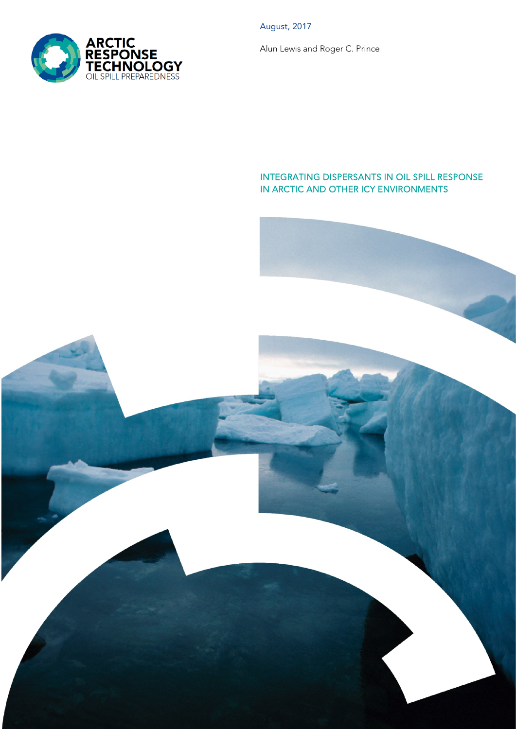August, 2017

Alun Lewis and Roger C. Prince

#### INTEGRATING DISPERSANTS IN OIL SPILL RESPONSE IN ARCTIC AND OTHER ICY ENVIRONMENTS



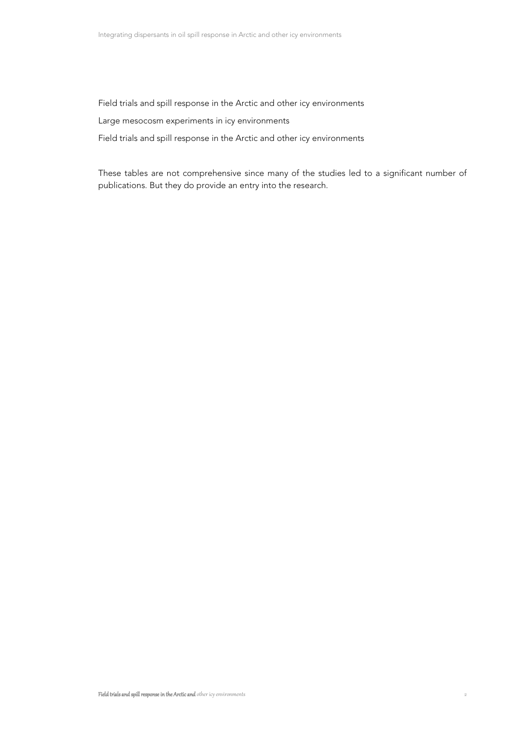Field trials and spill response in the Arctic and other icy environments

Large mesocosm experiments in icy environments

Field trials and spill response in the Arctic and other icy environments

These tables are not comprehensive since many of the studies led to a significant number of publications. But they do provide an entry into the research.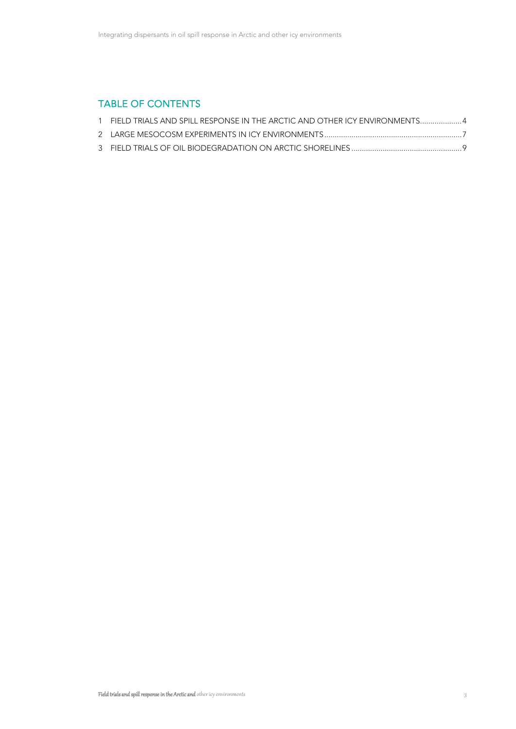## TABLE OF CONTENTS

| 1 FIELD TRIALS AND SPILL RESPONSE IN THE ARCTIC AND OTHER ICY ENVIRONMENTS 4 |  |
|------------------------------------------------------------------------------|--|
|                                                                              |  |
|                                                                              |  |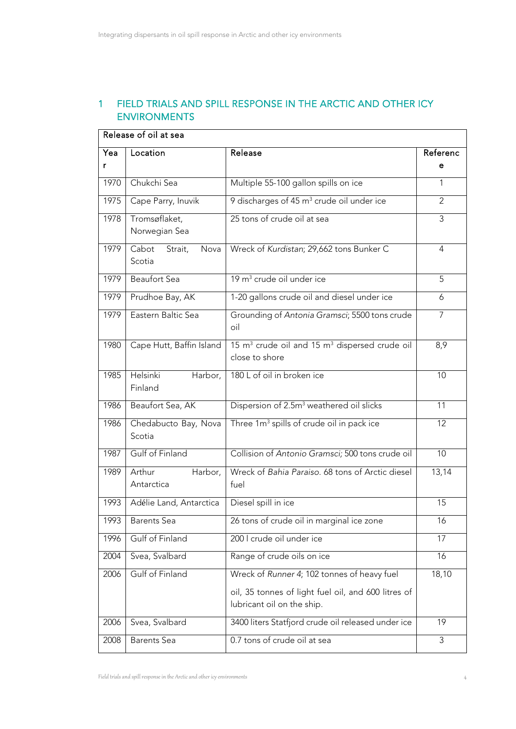## 1 FIELD TRIALS AND SPILL RESPONSE IN THE ARCTIC AND OTHER ICY ENVIRONMENTS

| Release of oil at sea |                                                           |                                                                                         |                |
|-----------------------|-----------------------------------------------------------|-----------------------------------------------------------------------------------------|----------------|
| Yea                   | Location                                                  | Release                                                                                 | Referenc       |
| r                     |                                                           |                                                                                         | е              |
| 1970                  | Chukchi Sea                                               | Multiple 55-100 gallon spills on ice                                                    | 1              |
| 1975                  | Cape Parry, Inuvik                                        | 9 discharges of 45 m <sup>3</sup> crude oil under ice                                   | $\overline{2}$ |
| 1978                  | Tromsøflaket,<br>Norwegian Sea                            | 25 tons of crude oil at sea                                                             | 3              |
| 1979                  | $\overline{\mathsf{C}}$ abot<br>Strait,<br>Nova<br>Scotia | Wreck of Kurdistan; 29,662 tons Bunker C                                                | $\overline{4}$ |
| 1979                  | <b>Beaufort Sea</b>                                       | 19 m <sup>3</sup> crude oil under ice                                                   | 5              |
| 1979                  | Prudhoe Bay, AK                                           | 1-20 gallons crude oil and diesel under ice                                             | 6              |
| 1979                  | Eastern Baltic Sea                                        | Grounding of Antonia Gramsci; 5500 tons crude<br>oil                                    | $\overline{7}$ |
| 1980                  | Cape Hutt, Baffin Island                                  | 15 m <sup>3</sup> crude oil and 15 m <sup>3</sup> dispersed crude oil<br>close to shore | 8,9            |
| 1985                  | Helsinki<br>Harbor,<br>Finland                            | 180 L of oil in broken ice                                                              | 10             |
| 1986                  | Beaufort Sea, AK                                          | Dispersion of 2.5m <sup>3</sup> weathered oil slicks                                    | 11             |
| 1986                  | Chedabucto Bay, Nova<br>Scotia                            | Three 1m <sup>3</sup> spills of crude oil in pack ice                                   | 12             |
| 1987                  | Gulf of Finland                                           | Collision of Antonio Gramsci; 500 tons crude oil                                        | 10             |
| 1989                  | Arthur<br>Harbor,<br>Antarctica                           | Wreck of Bahia Paraiso, 68 tons of Arctic diesel<br>fuel                                | 13,14          |
| 1993                  | Adélie Land, Antarctica                                   | Diesel spill in ice                                                                     | 15             |
| 1993                  | <b>Barents</b> Sea                                        | 26 tons of crude oil in marginal ice zone                                               | 16             |
| 1996                  | Gulf of Finland                                           | 200 I crude oil under ice                                                               | 17             |
| 2004                  | Svea, Svalbard                                            | Range of crude oils on ice                                                              | 16             |
| 2006                  | Gulf of Finland                                           | Wreck of Runner 4; 102 tonnes of heavy fuel                                             | 18,10          |
|                       |                                                           | oil, 35 tonnes of light fuel oil, and 600 litres of<br>lubricant oil on the ship.       |                |
| 2006                  | Svea, Svalbard                                            | 3400 liters Statfjord crude oil released under ice                                      | 19             |
| 2008                  | <b>Barents</b> Sea                                        | 0.7 tons of crude oil at sea                                                            | 3              |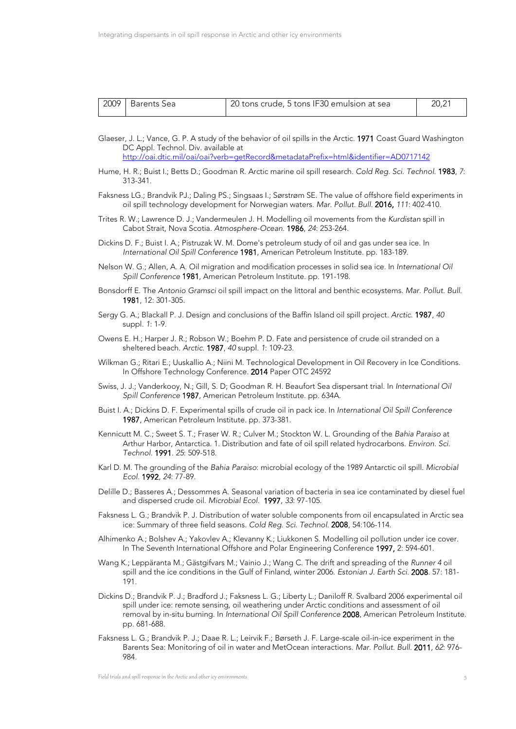| 2009   Barents Sea | 20 tons crude, 5 tons IF30 emulsion at sea | 20,21 |
|--------------------|--------------------------------------------|-------|
|                    |                                            |       |

- Glaeser, J. L.; Vance, G. P. A study of the behavior of oil spills in the Arctic. 1971 Coast Guard Washington DC Appl. Technol. Div. available at <http://oai.dtic.mil/oai/oai?verb=getRecord&metadataPrefix=html&identifier=AD0717142>
- Hume, H. R.; Buist I.; Betts D.; Goodman R. Arctic marine oil spill research. *Cold Reg. Sci. Technol.* 1983, *7*: 313-341.
- Faksness LG.; Brandvik PJ.; Daling PS.; Singsaas I.; Sørstrøm SE. The value of offshore field experiments in oil spill technology development for Norwegian waters. *Mar. Pollut. Bull.* 2016, *111*: 402-410.
- Trites R. W.; Lawrence D. J.; Vandermeulen J. H. Modelling oil movements from the *Kurdistan* spill in Cabot Strait, Nova Scotia. *Atmosphere-Ocean*. 1986, *24*: 253-264.
- Dickins D. F.; Buist I. A.; Pistruzak W. M. Dome's petroleum study of oil and gas under sea ice. In *International Oil Spill Conference* 1981, American Petroleum Institute. pp. 183-189.
- Nelson W. G.; Allen, A. A. Oil migration and modification processes in solid sea ice. In *International Oil Spill Conference* 1981, American Petroleum Institute. pp. 191-198.
- Bonsdorff E. The *Antonio Gramsci* oil spill impact on the littoral and benthic ecosystems. *Mar. Pollut. Bull.* 1981, 12: 301-305.
- Sergy G. A.; Blackall P. J. Design and conclusions of the Baffin Island oil spill project. *Arctic*. 1987, *40* suppl. *1*: 1-9.
- Owens E. H.; Harper J. R.; Robson W.; Boehm P. D. Fate and persistence of crude oil stranded on a sheltered beach. *Arctic*. 1987, *40* suppl. *1*: 109-23.
- Wilkman G.; Ritari E.; Uuskallio A.; Niini M. Technological Development in Oil Recovery in Ice Conditions. In Offshore Technology Conference. 2014 Paper OTC 24592
- Swiss, J. J.; Vanderkooy, N.; Gill, S. D; Goodman R. H. Beaufort Sea dispersant trial. In *International Oil Spill Conference* 1987, American Petroleum Institute. pp. 634A.
- Buist I. A.; Dickins D. F. Experimental spills of crude oil in pack ice. In *International Oil Spill Conference* 1987, American Petroleum Institute. pp. 373-381.
- Kennicutt M. C.; Sweet S. T.; Fraser W. R.; Culver M.; Stockton W. L. Grounding of the *Bahia Paraiso* at Arthur Harbor, Antarctica. 1. Distribution and fate of oil spill related hydrocarbons. *Environ. Sci. Technol.* 1991. *25*: 509-518.
- Karl D. M. The grounding of the *Bahia Paraiso*: microbial ecology of the 1989 Antarctic oil spill. *Microbial Ecol.* 1992, *24*: 77-89.
- Delille D.; Basseres A.; Dessommes A. Seasonal variation of bacteria in sea ice contaminated by diesel fuel and dispersed crude oil. *Microbial Ecol.* 1997, *33*: 97-105.
- Faksness L. G.; Brandvik P. J. Distribution of water soluble components from oil encapsulated in Arctic sea ice: Summary of three field seasons. *Cold Reg. Sci. Technol*. 2008, 54:106-114.
- Alhimenko A.; Bolshev A.; Yakovlev A.; Klevanny K.; Liukkonen S. Modelling oil pollution under ice cover. In The Seventh International Offshore and Polar Engineering Conference 1997, 2: 594-601.
- Wang K.; Leppäranta M.; Gästgifvars M.; Vainio J.; Wang C. The drift and spreading of the *Runner 4* oil spill and the ice conditions in the Gulf of Finland, winter 2006. *Estonian J. Earth Sci.* 2008. 57: 181- 191.
- Dickins D.; Brandvik P. J.; Bradford J.; Faksness L. G.; Liberty L.; Daniloff R. Svalbard 2006 experimental oil spill under ice: remote sensing, oil weathering under Arctic conditions and assessment of oil removal by in-situ burning. In *International Oil Spill Conference* 2008, American Petroleum Institute. pp. 681-688.
- Faksness L. G.; Brandvik P. J.; Daae R. L.; Leirvik F.; Børseth J. F. Large-scale oil-in-ice experiment in the Barents Sea: Monitoring of oil in water and MetOcean interactions. *Mar. Pollut. Bull.* 2011, *62*: 976- 984.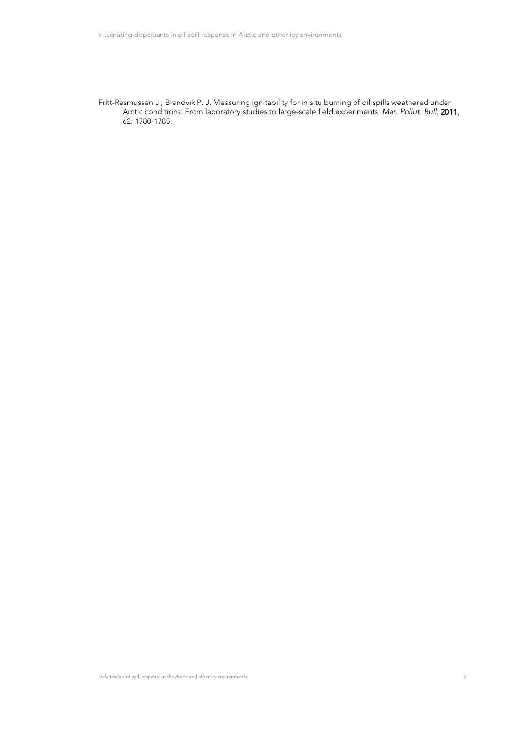Fritt-Rasmussen J.; Brandvik P. J. Measuring ignitability for in situ burning of oil spills weathered under Arctic conditions: From laboratory studies to large-scale field experiments. *Mar. Pollut. Bull*. 2011, 62: 1780-1785.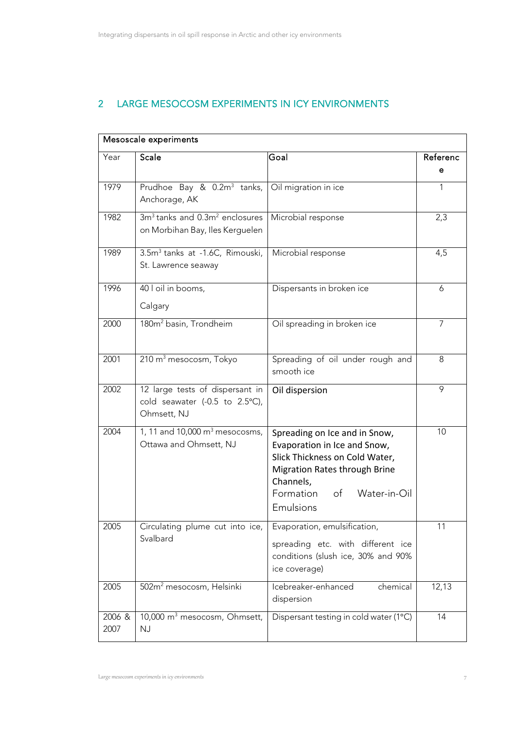# 2 LARGE MESOCOSM EXPERIMENTS IN ICY ENVIRONMENTS

| Mesoscale experiments |                                                                                           |                                                                                                                                                                                                      |               |
|-----------------------|-------------------------------------------------------------------------------------------|------------------------------------------------------------------------------------------------------------------------------------------------------------------------------------------------------|---------------|
| Year                  | <b>Scale</b>                                                                              | Goal                                                                                                                                                                                                 | Referenc<br>е |
| 1979                  | Prudhoe Bay & 0.2m <sup>3</sup> tanks,<br>Anchorage, AK                                   | Oil migration in ice                                                                                                                                                                                 | $\mathbf{1}$  |
| 1982                  | 3m <sup>3</sup> tanks and 0.3m <sup>2</sup> enclosures<br>on Morbihan Bay, Iles Kerguelen | Microbial response                                                                                                                                                                                   | 2,3           |
| 1989                  | 3.5m <sup>3</sup> tanks at -1.6C, Rimouski,<br>St. Lawrence seaway                        | Microbial response                                                                                                                                                                                   | 4,5           |
| 1996                  | 40 l oil in booms,<br>Calgary                                                             | Dispersants in broken ice                                                                                                                                                                            | 6             |
| 2000                  | 180m <sup>2</sup> basin, Trondheim                                                        | Oil spreading in broken ice                                                                                                                                                                          | 7             |
| 2001                  | 210 m <sup>3</sup> mesocosm, Tokyo                                                        | Spreading of oil under rough and<br>smooth ice                                                                                                                                                       | 8             |
| 2002                  | 12 large tests of dispersant in<br>cold seawater (-0.5 to 2.5°C),<br>Ohmsett, NJ          | Oil dispersion                                                                                                                                                                                       | 9             |
| 2004                  | 1, 11 and 10,000 m <sup>3</sup> mesocosms,<br>Ottawa and Ohmsett, NJ                      | Spreading on Ice and in Snow,<br>Evaporation in Ice and Snow,<br>Slick Thickness on Cold Water,<br><b>Migration Rates through Brine</b><br>Channels,<br>Formation<br>of<br>Water-in-Oil<br>Emulsions | 10            |
| 2005                  | Circulating plume cut into ice,<br>Svalbard                                               | Evaporation, emulsification,<br>spreading etc. with different ice<br>conditions (slush ice, 30% and 90%<br>ice coverage)                                                                             | 11            |
| 2005                  | 502m <sup>2</sup> mesocosm, Helsinki                                                      | Icebreaker-enhanced<br>chemical<br>dispersion                                                                                                                                                        | 12,13         |
| 2006 &<br>2007        | 10,000 m <sup>3</sup> mesocosm, Ohmsett,<br><b>NJ</b>                                     | Dispersant testing in cold water (1°C)                                                                                                                                                               | 14            |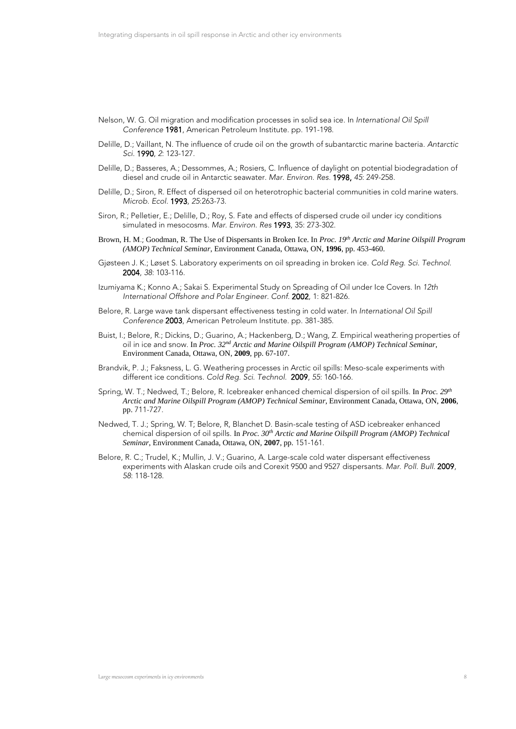- Nelson, W. G. Oil migration and modification processes in solid sea ice. In *International Oil Spill Conference* 1981, American Petroleum Institute. pp. 191-198.
- Delille, D.; Vaillant, N. The influence of crude oil on the growth of subantarctic marine bacteria. *Antarctic Sci*. 1990, *2*: 123-127.
- Delille, D.; Basseres, A.; Dessommes, A.; Rosiers, C. Influence of daylight on potential biodegradation of diesel and crude oil in Antarctic seawater. *Mar. Environ. Res.* 1998, *45*: 249-258.
- Delille, D.; Siron, R. Effect of dispersed oil on heterotrophic bacterial communities in cold marine waters. *Microb. Ecol.* 1993, *25*:263-73.
- Siron, R.; Pelletier, E.; Delille, D.; Roy, S. Fate and effects of dispersed crude oil under icy conditions simulated in mesocosms. *Mar. Environ. Res* 1993, 35: 273-302.
- Brown, H. M.; Goodman, R. The Use of Dispersants in Broken Ice. In *Proc. 19th Arctic and Marine Oilspill Program (AMOP) Technical Seminar*, Environment Canada, Ottawa, ON, **1996**, pp. 453-460.
- Gjøsteen J. K.; Løset S. Laboratory experiments on oil spreading in broken ice. *Cold Reg. Sci. Technol.* 2004, *38*: 103-116.
- Izumiyama K.; Konno A.; Sakai S. Experimental Study on Spreading of Oil under Ice Covers. In *12th International Offshore and Polar Engineer. Conf.* 2002, 1: 821-826.
- Belore, R. Large wave tank dispersant effectiveness testing in cold water. In *International Oil Spill Conference* 2003, American Petroleum Institute. pp. 381-385.
- Buist, I.; Belore, R.; Dickins, D.; Guarino, A.; Hackenberg, D.; Wang, Z. Empirical weathering properties of oil in ice and snow. In *Proc. 32nd Arctic and Marine Oilspill Program (AMOP) Technical Seminar*, Environment Canada, Ottawa, ON, **2009**, pp. 67-107.
- Brandvik, P. J.; Faksness, L. G. Weathering processes in Arctic oil spills: Meso-scale experiments with different ice conditions. *Cold Reg. Sci. Technol.* 2009, *55*: 160-166.
- Spring, W. T.; Nedwed, T.; Belore, R. Icebreaker enhanced chemical dispersion of oil spills. In *Proc. 29th Arctic and Marine Oilspill Program (AMOP) Technical Seminar*, Environment Canada, Ottawa, ON, **2006**, pp. 711-727.
- Nedwed, T. J.; Spring, W. T; Belore, R, Blanchet D. Basin-scale testing of ASD icebreaker enhanced chemical dispersion of oil spills. In *Proc. 30th Arctic and Marine Oilspill Program (AMOP) Technical Seminar*, Environment Canada, Ottawa, ON, **2007**, pp. 151-161.
- Belore, R. C.; Trudel, K.; Mullin, J. V.; Guarino, A. Large-scale cold water dispersant effectiveness experiments with Alaskan crude oils and Corexit 9500 and 9527 dispersants. *Mar. Poll. Bull.* 2009, *58*: 118-128.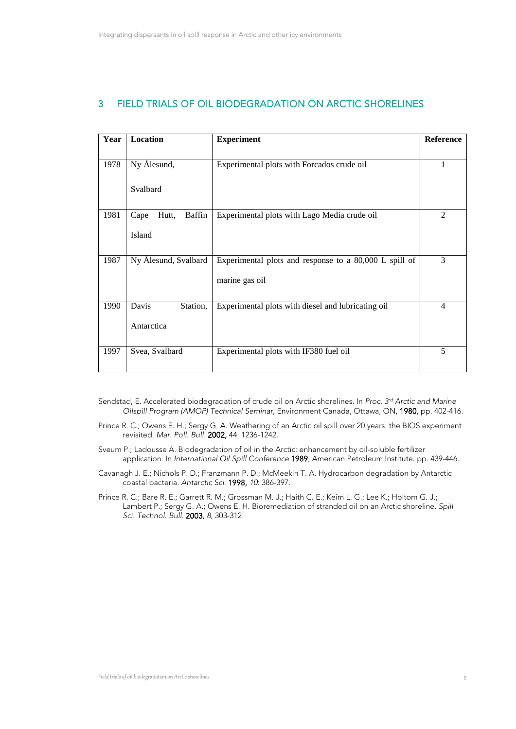### 3 FIELD TRIALS OF OIL BIODEGRADATION ON ARCTIC SHORELINES

| Year | Location                       | <b>Experiment</b>                                      | Reference      |
|------|--------------------------------|--------------------------------------------------------|----------------|
| 1978 | Ny Ålesund,                    | Experimental plots with Forcados crude oil             |                |
|      | Svalbard                       |                                                        |                |
| 1981 | <b>Baffin</b><br>Hutt,<br>Cape | Experimental plots with Lago Media crude oil           | $\overline{2}$ |
|      | Island                         |                                                        |                |
| 1987 | Ny Ålesund, Svalbard           | Experimental plots and response to a 80,000 L spill of | 3              |
|      |                                | marine gas oil                                         |                |
| 1990 | Station,<br>Davis              | Experimental plots with diesel and lubricating oil     | $\overline{4}$ |
|      | Antarctica                     |                                                        |                |
| 1997 | Svea, Svalbard                 | Experimental plots with IF380 fuel oil                 | 5              |

- Sendstad, E. Accelerated biodegradation of crude oil on Arctic shorelines. In *Proc. 3rd Arctic and Marine Oilspill Program (AMOP) Technical Seminar*, Environment Canada, Ottawa, ON, 1980, pp. 402-416.
- Prince R. C.; Owens E. H.; Sergy G. A. Weathering of an Arctic oil spill over 20 years: the BIOS experiment revisited. *Mar. Poll. Bull.* 2002, 44: 1236-1242.
- Sveum P.; Ladousse A. Biodegradation of oil in the Arctic: enhancement by oil-soluble fertilizer application. In *International Oil Spill Conference* 1989, American Petroleum Institute. pp. 439-446.
- Cavanagh J. E.; Nichols P. D.; Franzmann P. D.; McMeekin T. A. Hydrocarbon degradation by Antarctic coastal bacteria. *Antarctic Sci.* 1998, *10*: 386-397.
- Prince R. C.; Bare R. E.; Garrett R. M.; Grossman M. J.; Haith C. E.; Keim L. G.; Lee K.; Holtom G. J.; Lambert P.; Sergy G. A.; Owens E. H. Bioremediation of stranded oil on an Arctic shoreline. *Spill Sci. Technol. Bull.* 2003, *8*, 303-312.